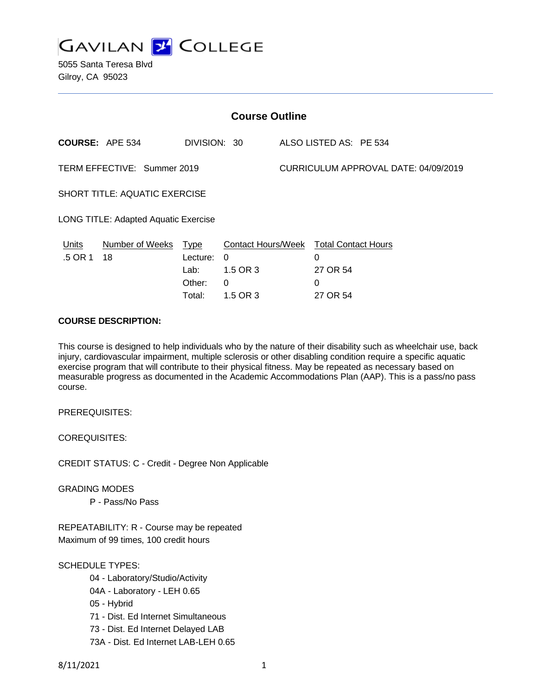

5055 Santa Teresa Blvd Gilroy, CA 95023

| <b>Course Outline</b>                |                            |                            |                                                                                   |                                      |                           |  |
|--------------------------------------|----------------------------|----------------------------|-----------------------------------------------------------------------------------|--------------------------------------|---------------------------|--|
|                                      | <b>COURSE: APE 534</b>     | DIVISION: 30               |                                                                                   |                                      | ALSO LISTED AS: PE 534    |  |
| TERM EFFECTIVE: Summer 2019          |                            |                            |                                                                                   | CURRICULUM APPROVAL DATE: 04/09/2019 |                           |  |
| <b>SHORT TITLE: AQUATIC EXERCISE</b> |                            |                            |                                                                                   |                                      |                           |  |
| LONG TITLE: Adapted Aquatic Exercise |                            |                            |                                                                                   |                                      |                           |  |
| <u>Units</u><br>.5 OR 1              | Number of Weeks Type<br>18 | Lecture:<br>Lab:<br>Other: | <b>Contact Hours/Week Total Contact Hours</b><br>$\Omega$<br>1.5 OR 3<br>$\Omega$ |                                      | $\Omega$<br>27 OR 54<br>0 |  |
|                                      |                            | Total:                     | 1.5 OR 3                                                                          |                                      | 27 OR 54                  |  |

## **COURSE DESCRIPTION:**

This course is designed to help individuals who by the nature of their disability such as wheelchair use, back injury, cardiovascular impairment, multiple sclerosis or other disabling condition require a specific aquatic exercise program that will contribute to their physical fitness. May be repeated as necessary based on measurable progress as documented in the Academic Accommodations Plan (AAP). This is a pass/no pass course.

PREREQUISITES:

COREQUISITES:

CREDIT STATUS: C - Credit - Degree Non Applicable

GRADING MODES

P - Pass/No Pass

REPEATABILITY: R - Course may be repeated Maximum of 99 times, 100 credit hours

# SCHEDULE TYPES:

- 04 Laboratory/Studio/Activity
- 04A Laboratory LEH 0.65
- 05 Hybrid
- 71 Dist. Ed Internet Simultaneous
- 73 Dist. Ed Internet Delayed LAB
- 73A Dist. Ed Internet LAB-LEH 0.65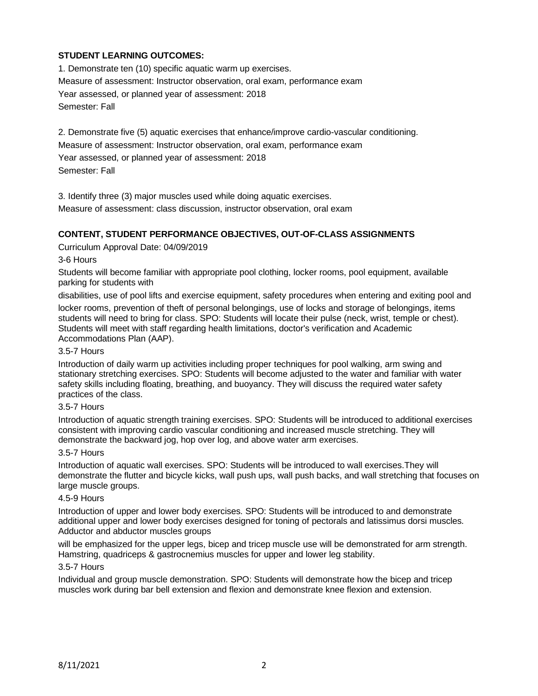# **STUDENT LEARNING OUTCOMES:**

1. Demonstrate ten (10) specific aquatic warm up exercises. Measure of assessment: Instructor observation, oral exam, performance exam Year assessed, or planned year of assessment: 2018 Semester: Fall

2. Demonstrate five (5) aquatic exercises that enhance/improve cardio-vascular conditioning. Measure of assessment: Instructor observation, oral exam, performance exam Year assessed, or planned year of assessment: 2018 Semester: Fall

3. Identify three (3) major muscles used while doing aquatic exercises.

Measure of assessment: class discussion, instructor observation, oral exam

## **CONTENT, STUDENT PERFORMANCE OBJECTIVES, OUT-OF-CLASS ASSIGNMENTS**

Curriculum Approval Date: 04/09/2019

### 3-6 Hours

Students will become familiar with appropriate pool clothing, locker rooms, pool equipment, available parking for students with

disabilities, use of pool lifts and exercise equipment, safety procedures when entering and exiting pool and locker rooms, prevention of theft of personal belongings, use of locks and storage of belongings, items students will need to bring for class. SPO: Students will locate their pulse (neck, wrist, temple or chest). Students will meet with staff regarding health limitations, doctor's verification and Academic Accommodations Plan (AAP).

#### 3.5-7 Hours

Introduction of daily warm up activities including proper techniques for pool walking, arm swing and stationary stretching exercises. SPO: Students will become adjusted to the water and familiar with water safety skills including floating, breathing, and buoyancy. They will discuss the required water safety practices of the class.

#### 3.5-7 Hours

Introduction of aquatic strength training exercises. SPO: Students will be introduced to additional exercises consistent with improving cardio vascular conditioning and increased muscle stretching. They will demonstrate the backward jog, hop over log, and above water arm exercises.

#### 3.5-7 Hours

Introduction of aquatic wall exercises. SPO: Students will be introduced to wall exercises.They will demonstrate the flutter and bicycle kicks, wall push ups, wall push backs, and wall stretching that focuses on large muscle groups.

## 4.5-9 Hours

Introduction of upper and lower body exercises. SPO: Students will be introduced to and demonstrate additional upper and lower body exercises designed for toning of pectorals and latissimus dorsi muscles. Adductor and abductor muscles groups

will be emphasized for the upper legs, bicep and tricep muscle use will be demonstrated for arm strength. Hamstring, quadriceps & gastrocnemius muscles for upper and lower leg stability.

### 3.5-7 Hours

Individual and group muscle demonstration. SPO: Students will demonstrate how the bicep and tricep muscles work during bar bell extension and flexion and demonstrate knee flexion and extension.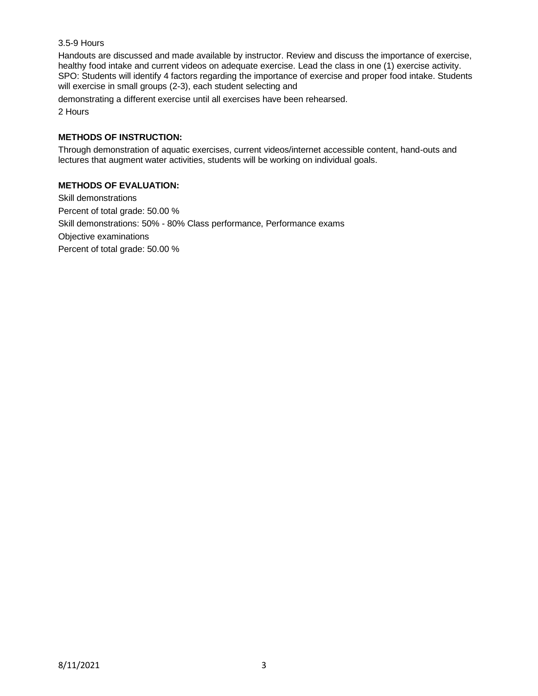## 3.5-9 Hours

Handouts are discussed and made available by instructor. Review and discuss the importance of exercise, healthy food intake and current videos on adequate exercise. Lead the class in one (1) exercise activity. SPO: Students will identify 4 factors regarding the importance of exercise and proper food intake. Students will exercise in small groups (2-3), each student selecting and

demonstrating a different exercise until all exercises have been rehearsed.

2 Hours

# **METHODS OF INSTRUCTION:**

Through demonstration of aquatic exercises, current videos/internet accessible content, hand-outs and lectures that augment water activities, students will be working on individual goals.

## **METHODS OF EVALUATION:**

Skill demonstrations Percent of total grade: 50.00 % Skill demonstrations: 50% - 80% Class performance, Performance exams Objective examinations Percent of total grade: 50.00 %